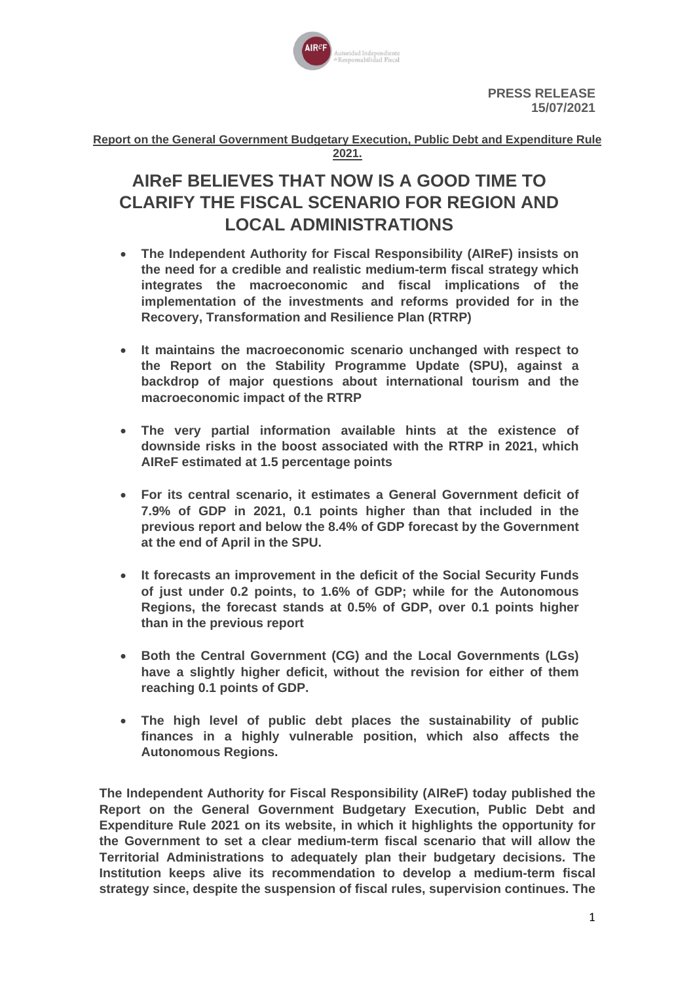

**Report on the General Government Budgetary Execution, Public Debt and Expenditure Rule 2021.**

# **AIReF BELIEVES THAT NOW IS A GOOD TIME TO CLARIFY THE FISCAL SCENARIO FOR REGION AND LOCAL ADMINISTRATIONS**

- **The Independent Authority for Fiscal Responsibility (AIReF) insists on the need for a credible and realistic medium-term fiscal strategy which integrates the macroeconomic and fiscal implications of the implementation of the investments and reforms provided for in the Recovery, Transformation and Resilience Plan (RTRP)**
- **It maintains the macroeconomic scenario unchanged with respect to the Report on the Stability Programme Update (SPU), against a backdrop of major questions about international tourism and the macroeconomic impact of the RTRP**
- **The very partial information available hints at the existence of downside risks in the boost associated with the RTRP in 2021, which AIReF estimated at 1.5 percentage points**
- **For its central scenario, it estimates a General Government deficit of 7.9% of GDP in 2021, 0.1 points higher than that included in the previous report and below the 8.4% of GDP forecast by the Government at the end of April in the SPU.**
- **It forecasts an improvement in the deficit of the Social Security Funds of just under 0.2 points, to 1.6% of GDP; while for the Autonomous Regions, the forecast stands at 0.5% of GDP, over 0.1 points higher than in the previous report**
- **Both the Central Government (CG) and the Local Governments (LGs) have a slightly higher deficit, without the revision for either of them reaching 0.1 points of GDP.**
- **The high level of public debt places the sustainability of public finances in a highly vulnerable position, which also affects the Autonomous Regions.**

**The Independent Authority for Fiscal Responsibility (AIReF) today published the Report on the General Government Budgetary Execution, Public Debt and Expenditure Rule 2021 on its website, in which it highlights the opportunity for the Government to set a clear medium-term fiscal scenario that will allow the Territorial Administrations to adequately plan their budgetary decisions. The Institution keeps alive its recommendation to develop a medium-term fiscal strategy since, despite the suspension of fiscal rules, supervision continues. The**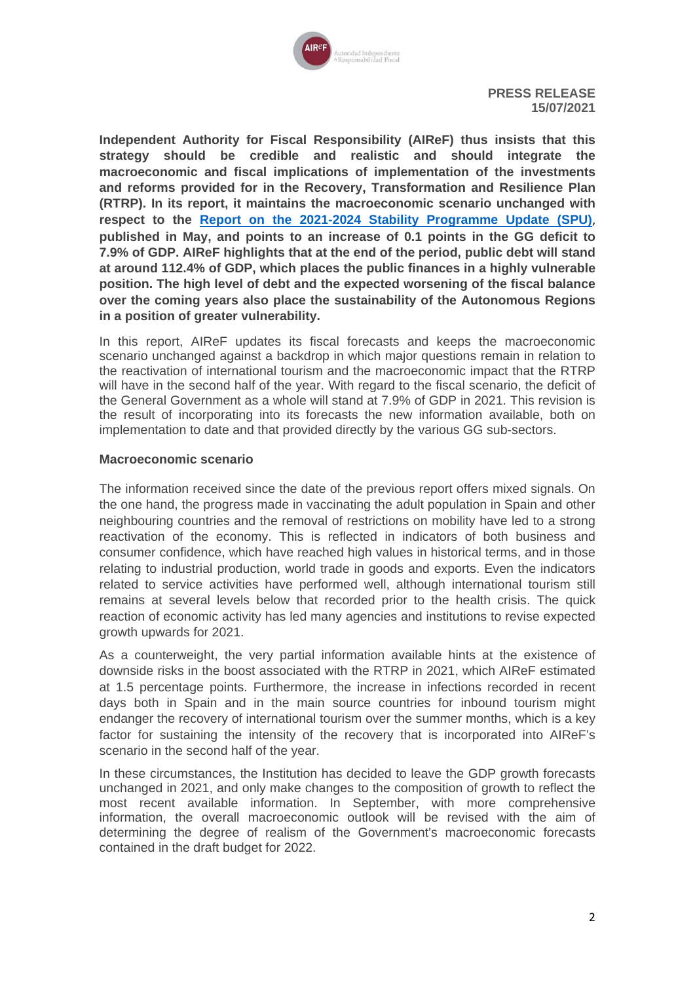

**PRESS RELEASE 15/07/2021**

**Independent Authority for Fiscal Responsibility (AIReF) thus insists that this strategy should be credible and realistic and should integrate the macroeconomic and fiscal implications of implementation of the investments and reforms provided for in the Recovery, Transformation and Resilience Plan (RTRP). In its report, it maintains the macroeconomic scenario unchanged with respect to the [Report on the 2021-2024 Stability Programme Update \(SPU\)](https://www.airef.es/es/centro-documental/informe-sobre-la-actualizacion-del-programa-de-estabilidad-2021-2024/)**, **published in May, and points to an increase of 0.1 points in the GG deficit to 7.9% of GDP. AIReF highlights that at the end of the period, public debt will stand at around 112.4% of GDP, which places the public finances in a highly vulnerable position. The high level of debt and the expected worsening of the fiscal balance over the coming years also place the sustainability of the Autonomous Regions in a position of greater vulnerability.**

In this report, AIReF updates its fiscal forecasts and keeps the macroeconomic scenario unchanged against a backdrop in which major questions remain in relation to the reactivation of international tourism and the macroeconomic impact that the RTRP will have in the second half of the year. With regard to the fiscal scenario, the deficit of the General Government as a whole will stand at 7.9% of GDP in 2021. This revision is the result of incorporating into its forecasts the new information available, both on implementation to date and that provided directly by the various GG sub-sectors.

#### **Macroeconomic scenario**

The information received since the date of the previous report offers mixed signals. On the one hand, the progress made in vaccinating the adult population in Spain and other neighbouring countries and the removal of restrictions on mobility have led to a strong reactivation of the economy. This is reflected in indicators of both business and consumer confidence, which have reached high values in historical terms, and in those relating to industrial production, world trade in goods and exports. Even the indicators related to service activities have performed well, although international tourism still remains at several levels below that recorded prior to the health crisis. The quick reaction of economic activity has led many agencies and institutions to revise expected growth upwards for 2021.

As a counterweight, the very partial information available hints at the existence of downside risks in the boost associated with the RTRP in 2021, which AIReF estimated at 1.5 percentage points. Furthermore, the increase in infections recorded in recent days both in Spain and in the main source countries for inbound tourism might endanger the recovery of international tourism over the summer months, which is a key factor for sustaining the intensity of the recovery that is incorporated into AIReF's scenario in the second half of the year.

In these circumstances, the Institution has decided to leave the GDP growth forecasts unchanged in 2021, and only make changes to the composition of growth to reflect the most recent available information. In September, with more comprehensive information, the overall macroeconomic outlook will be revised with the aim of determining the degree of realism of the Government's macroeconomic forecasts contained in the draft budget for 2022.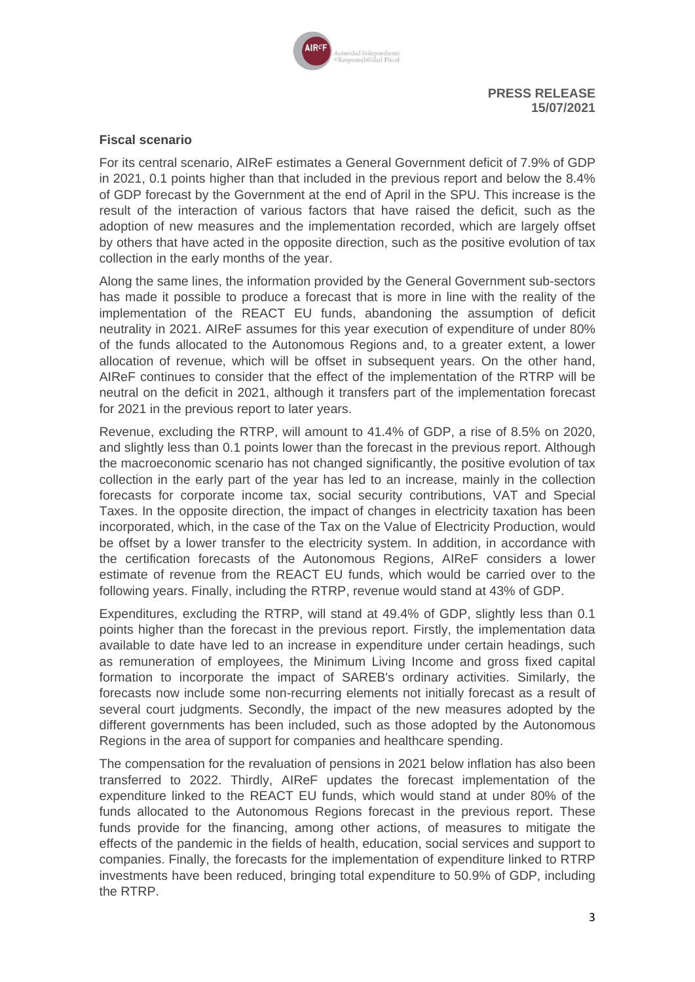

## **Fiscal scenario**

For its central scenario, AIReF estimates a General Government deficit of 7.9% of GDP in 2021, 0.1 points higher than that included in the previous report and below the 8.4% of GDP forecast by the Government at the end of April in the SPU. This increase is the result of the interaction of various factors that have raised the deficit, such as the adoption of new measures and the implementation recorded, which are largely offset by others that have acted in the opposite direction, such as the positive evolution of tax collection in the early months of the year.

Along the same lines, the information provided by the General Government sub-sectors has made it possible to produce a forecast that is more in line with the reality of the implementation of the REACT EU funds, abandoning the assumption of deficit neutrality in 2021. AIReF assumes for this year execution of expenditure of under 80% of the funds allocated to the Autonomous Regions and, to a greater extent, a lower allocation of revenue, which will be offset in subsequent years. On the other hand, AIReF continues to consider that the effect of the implementation of the RTRP will be neutral on the deficit in 2021, although it transfers part of the implementation forecast for 2021 in the previous report to later years.

Revenue, excluding the RTRP, will amount to 41.4% of GDP, a rise of 8.5% on 2020, and slightly less than 0.1 points lower than the forecast in the previous report. Although the macroeconomic scenario has not changed significantly, the positive evolution of tax collection in the early part of the year has led to an increase, mainly in the collection forecasts for corporate income tax, social security contributions, VAT and Special Taxes. In the opposite direction, the impact of changes in electricity taxation has been incorporated, which, in the case of the Tax on the Value of Electricity Production, would be offset by a lower transfer to the electricity system. In addition, in accordance with the certification forecasts of the Autonomous Regions, AIReF considers a lower estimate of revenue from the REACT EU funds, which would be carried over to the following years. Finally, including the RTRP, revenue would stand at 43% of GDP.

Expenditures, excluding the RTRP, will stand at 49.4% of GDP, slightly less than 0.1 points higher than the forecast in the previous report. Firstly, the implementation data available to date have led to an increase in expenditure under certain headings, such as remuneration of employees, the Minimum Living Income and gross fixed capital formation to incorporate the impact of SAREB's ordinary activities. Similarly, the forecasts now include some non-recurring elements not initially forecast as a result of several court judgments. Secondly, the impact of the new measures adopted by the different governments has been included, such as those adopted by the Autonomous Regions in the area of support for companies and healthcare spending.

The compensation for the revaluation of pensions in 2021 below inflation has also been transferred to 2022. Thirdly, AIReF updates the forecast implementation of the expenditure linked to the REACT EU funds, which would stand at under 80% of the funds allocated to the Autonomous Regions forecast in the previous report. These funds provide for the financing, among other actions, of measures to mitigate the effects of the pandemic in the fields of health, education, social services and support to companies. Finally, the forecasts for the implementation of expenditure linked to RTRP investments have been reduced, bringing total expenditure to 50.9% of GDP, including the RTRP.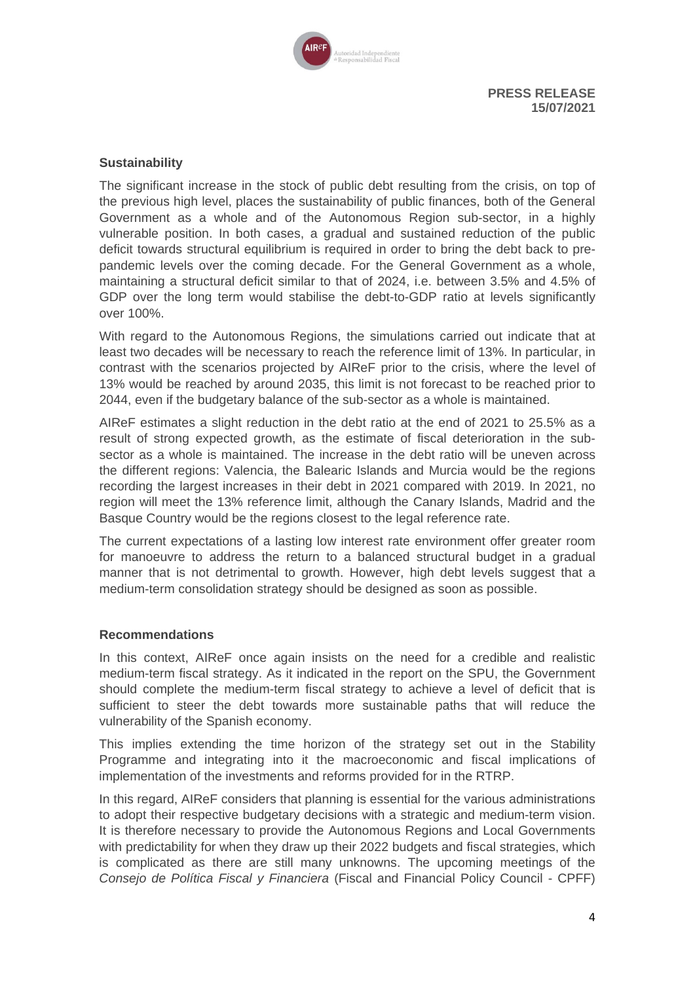

## **Sustainability**

The significant increase in the stock of public debt resulting from the crisis, on top of the previous high level, places the sustainability of public finances, both of the General Government as a whole and of the Autonomous Region sub-sector, in a highly vulnerable position. In both cases, a gradual and sustained reduction of the public deficit towards structural equilibrium is required in order to bring the debt back to prepandemic levels over the coming decade. For the General Government as a whole, maintaining a structural deficit similar to that of 2024, i.e. between 3.5% and 4.5% of GDP over the long term would stabilise the debt-to-GDP ratio at levels significantly over 100%.

With regard to the Autonomous Regions, the simulations carried out indicate that at least two decades will be necessary to reach the reference limit of 13%. In particular, in contrast with the scenarios projected by AIReF prior to the crisis, where the level of 13% would be reached by around 2035, this limit is not forecast to be reached prior to 2044, even if the budgetary balance of the sub-sector as a whole is maintained.

AIReF estimates a slight reduction in the debt ratio at the end of 2021 to 25.5% as a result of strong expected growth, as the estimate of fiscal deterioration in the subsector as a whole is maintained. The increase in the debt ratio will be uneven across the different regions: Valencia, the Balearic Islands and Murcia would be the regions recording the largest increases in their debt in 2021 compared with 2019. In 2021, no region will meet the 13% reference limit, although the Canary Islands, Madrid and the Basque Country would be the regions closest to the legal reference rate.

The current expectations of a lasting low interest rate environment offer greater room for manoeuvre to address the return to a balanced structural budget in a gradual manner that is not detrimental to growth. However, high debt levels suggest that a medium-term consolidation strategy should be designed as soon as possible.

#### **Recommendations**

In this context, AIReF once again insists on the need for a credible and realistic medium-term fiscal strategy. As it indicated in the report on the SPU, the Government should complete the medium-term fiscal strategy to achieve a level of deficit that is sufficient to steer the debt towards more sustainable paths that will reduce the vulnerability of the Spanish economy.

This implies extending the time horizon of the strategy set out in the Stability Programme and integrating into it the macroeconomic and fiscal implications of implementation of the investments and reforms provided for in the RTRP.

In this regard, AIReF considers that planning is essential for the various administrations to adopt their respective budgetary decisions with a strategic and medium-term vision. It is therefore necessary to provide the Autonomous Regions and Local Governments with predictability for when they draw up their 2022 budgets and fiscal strategies, which is complicated as there are still many unknowns. The upcoming meetings of the *Consejo de Política Fiscal y Financiera* (Fiscal and Financial Policy Council - CPFF)